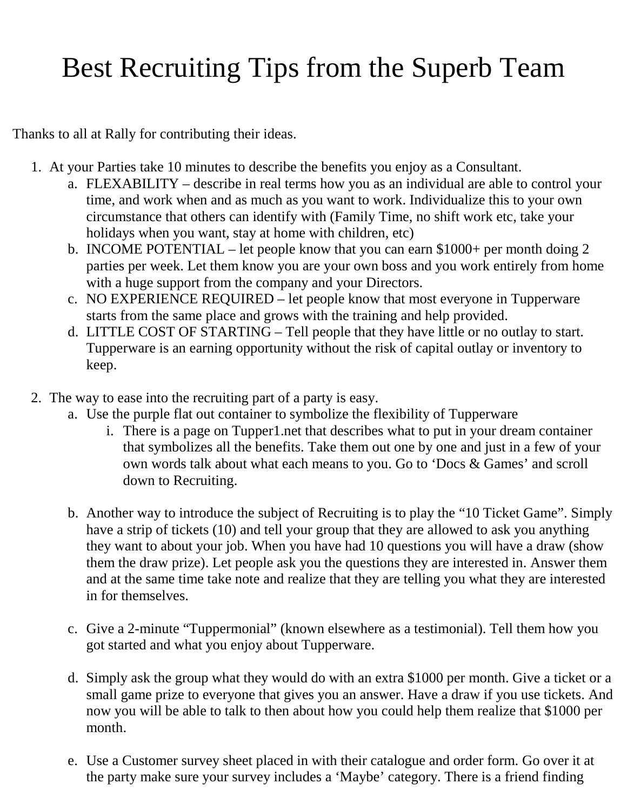## Best Recruiting Tips from the Superb Team

Thanks to all at Rally for contributing their ideas.

- 1. At your Parties take 10 minutes to describe the benefits you enjoy as a Consultant.
	- a. FLEXABILITY describe in real terms how you as an individual are able to control your time, and work when and as much as you want to work. Individualize this to your own circumstance that others can identify with (Family Time, no shift work etc, take your holidays when you want, stay at home with children, etc)
	- b. INCOME POTENTIAL let people know that you can earn \$1000+ per month doing 2 parties per week. Let them know you are your own boss and you work entirely from home with a huge support from the company and your Directors.
	- c. NO EXPERIENCE REQUIRED let people know that most everyone in Tupperware starts from the same place and grows with the training and help provided.
	- d. LITTLE COST OF STARTING Tell people that they have little or no outlay to start. Tupperware is an earning opportunity without the risk of capital outlay or inventory to keep.
- 2. The way to ease into the recruiting part of a party is easy.
	- a. Use the purple flat out container to symbolize the flexibility of Tupperware
		- i. There is a page on Tupper1.net that describes what to put in your dream container that symbolizes all the benefits. Take them out one by one and just in a few of your own words talk about what each means to you. Go to 'Docs & Games' and scroll down to Recruiting.
	- b. Another way to introduce the subject of Recruiting is to play the "10 Ticket Game". Simply have a strip of tickets (10) and tell your group that they are allowed to ask you anything they want to about your job. When you have had 10 questions you will have a draw (show them the draw prize). Let people ask you the questions they are interested in. Answer them and at the same time take note and realize that they are telling you what they are interested in for themselves.
	- c. Give a 2-minute "Tuppermonial" (known elsewhere as a testimonial). Tell them how you got started and what you enjoy about Tupperware.
	- d. Simply ask the group what they would do with an extra \$1000 per month. Give a ticket or a small game prize to everyone that gives you an answer. Have a draw if you use tickets. And now you will be able to talk to then about how you could help them realize that \$1000 per month.
	- e. Use a Customer survey sheet placed in with their catalogue and order form. Go over it at the party make sure your survey includes a 'Maybe' category. There is a friend finding